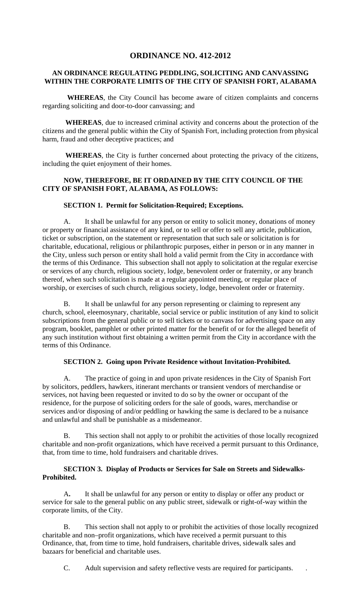# **ORDINANCE NO. 412-2012**

## **AN ORDINANCE REGULATING PEDDLING, SOLICITING AND CANVASSING WITHIN THE CORPORATE LIMITS OF THE CITY OF SPANISH FORT, ALABAMA**

 **WHEREAS**, the City Council has become aware of citizen complaints and concerns regarding soliciting and door-to-door canvassing; and

 **WHEREAS**, due to increased criminal activity and concerns about the protection of the citizens and the general public within the City of Spanish Fort, including protection from physical harm, fraud and other deceptive practices; and

 **WHEREAS**, the City is further concerned about protecting the privacy of the citizens, including the quiet enjoyment of their homes.

## **NOW, THEREFORE, BE IT ORDAINED BY THE CITY COUNCIL OF THE CITY OF SPANISH FORT, ALABAMA, AS FOLLOWS:**

#### **SECTION 1. Permit for Solicitation-Required; Exceptions.**

A. It shall be unlawful for any person or entity to solicit money, donations of money or property or financial assistance of any kind, or to sell or offer to sell any article, publication, ticket or subscription, on the statement or representation that such sale or solicitation is for charitable, educational, religious or philanthropic purposes, either in person or in any manner in the City, unless such person or entity shall hold a valid permit from the City in accordance with the terms of this Ordinance. This subsection shall not apply to solicitation at the regular exercise or services of any church, religious society, lodge, benevolent order or fraternity, or any branch thereof, when such solicitation is made at a regular appointed meeting, or regular place of worship, or exercises of such church, religious society, lodge, benevolent order or fraternity.

B. It shall be unlawful for any person representing or claiming to represent any church, school, eleemosynary, charitable, social service or public institution of any kind to solicit subscriptions from the general public or to sell tickets or to canvass for advertising space on any program, booklet, pamphlet or other printed matter for the benefit of or for the alleged benefit of any such institution without first obtaining a written permit from the City in accordance with the terms of this Ordinance.

#### **SECTION 2. Going upon Private Residence without Invitation-Prohibited.**

A. The practice of going in and upon private residences in the City of Spanish Fort by solicitors, peddlers, hawkers, itinerant merchants or transient vendors of merchandise or services, not having been requested or invited to do so by the owner or occupant of the residence, for the purpose of soliciting orders for the sale of goods, wares, merchandise or services and/or disposing of and/or peddling or hawking the same is declared to be a nuisance and unlawful and shall be punishable as a misdemeanor.

 B. This section shall not apply to or prohibit the activities of those locally recognized charitable and non-profit organizations, which have received a permit pursuant to this Ordinance, that, from time to time, hold fundraisers and charitable drives.

## **SECTION 3. Display of Products or Services for Sale on Streets and Sidewalks-Prohibited.**

A**.** It shall be unlawful for any person or entity to display or offer any product or service for sale to the general public on any public street, sidewalk or right-of-way within the corporate limits, of the City.

 B. This section shall not apply to or prohibit the activities of those locally recognized charitable and non–profit organizations, which have received a permit pursuant to this Ordinance, that, from time to time, hold fundraisers, charitable drives, sidewalk sales and bazaars for beneficial and charitable uses.

C. Adult supervision and safety reflective vests are required for participants. .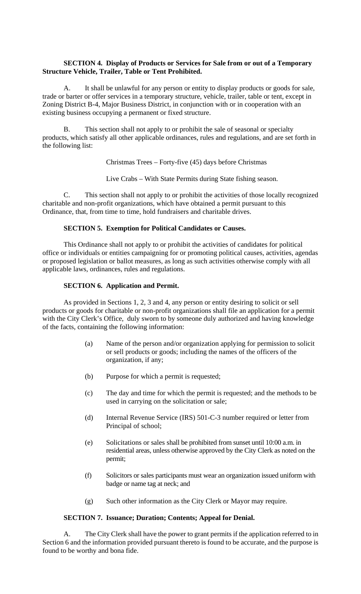## **SECTION 4. Display of Products or Services for Sale from or out of a Temporary Structure Vehicle, Trailer, Table or Tent Prohibited.**

A. It shall be unlawful for any person or entity to display products or goods for sale, trade or barter or offer services in a temporary structure, vehicle, trailer, table or tent, except in Zoning District B-4, Major Business District, in conjunction with or in cooperation with an existing business occupying a permanent or fixed structure.

B. This section shall not apply to or prohibit the sale of seasonal or specialty products, which satisfy all other applicable ordinances, rules and regulations, and are set forth in the following list:

Christmas Trees – Forty-five (45) days before Christmas

Live Crabs – With State Permits during State fishing season.

 C. This section shall not apply to or prohibit the activities of those locally recognized charitable and non-profit organizations, which have obtained a permit pursuant to this Ordinance, that, from time to time, hold fundraisers and charitable drives.

## **SECTION 5. Exemption for Political Candidates or Causes.**

 This Ordinance shall not apply to or prohibit the activities of candidates for political office or individuals or entities campaigning for or promoting political causes, activities, agendas or proposed legislation or ballot measures, as long as such activities otherwise comply with all applicable laws, ordinances, rules and regulations.

## **SECTION 6. Application and Permit.**

As provided in Sections 1, 2, 3 and 4, any person or entity desiring to solicit or sell products or goods for charitable or non-profit organizations shall file an application for a permit with the City Clerk's Office, duly sworn to by someone duly authorized and having knowledge of the facts, containing the following information:

- (a) Name of the person and/or organization applying for permission to solicit or sell products or goods; including the names of the officers of the organization, if any;
- (b) Purpose for which a permit is requested;
- (c) The day and time for which the permit is requested; and the methods to be used in carrying on the solicitation or sale;
- (d) Internal Revenue Service (IRS) 501-C-3 number required or letter from Principal of school;
- (e) Solicitations or sales shall be prohibited from sunset until 10:00 a.m. in residential areas, unless otherwise approved by the City Clerk as noted on the permit;
- (f) Solicitors or sales participants must wear an organization issued uniform with badge or name tag at neck; and
- (g) Such other information as the City Clerk or Mayor may require.

# **SECTION 7. Issuance; Duration; Contents; Appeal for Denial.**

 A. The City Clerk shall have the power to grant permits if the application referred to in Section 6 and the information provided pursuant thereto is found to be accurate, and the purpose is found to be worthy and bona fide.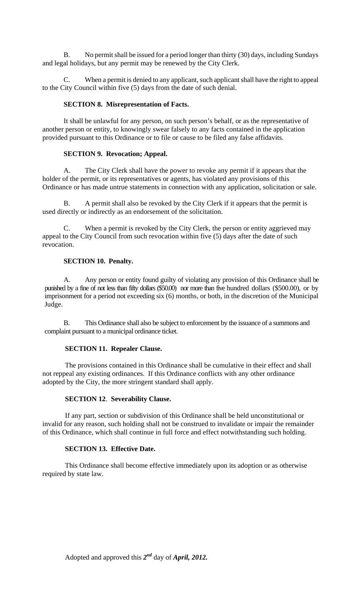B. No permit shall be issued for a period longer than thirty (30) days, including Sundays and legal holidays, but any permit may be renewed by the City Clerk.

 C. When a permit is denied to any applicant, such applicant shall have the right to appeal to the City Council within five (5) days from the date of such denial.

### **SECTION 8. Misrepresentation of Facts.**

 It shall be unlawful for any person, on such person's behalf, or as the representative of another person or entity, to knowingly swear falsely to any facts contained in the application provided pursuant to this Ordinance or to file or cause to be filed any false affidavits.

#### **SECTION 9. Revocation; Appeal.**

A. The City Clerk shall have the power to revoke any permit if it appears that the holder of the permit, or its representatives or agents, has violated any provisions of this Ordinance or has made untrue statements in connection with any application, solicitation or sale.

B. A permit shall also be revoked by the City Clerk if it appears that the permit is used directly or indirectly as an endorsement of the solicitation.

C. When a permit is revoked by the City Clerk, the person or entity aggrieved may appeal to the City Council from such revocation within five (5) days after the date of such revocation.

#### **SECTION 10. Penalty.**

 A. Any person or entity found guilty of violating any provision of this Ordinance shall be punished by a fine of not less than fifty dollars (\$50.00) nor more than five hundred dollars (\$500.00), or by imprisonment for a period not exceeding six (6) months, or both, in the discretion of the Municipal Judge.

 B. This Ordinance shall also be subject to enforcement by the issuance of a summons and complaint pursuant to a municipal ordinance ticket.

## **SECTION 11. Repealer Clause.**

The provisions contained in this Ordinance shall be cumulative in their effect and shall not reppeal any existing ordinances. If this Ordinance conflicts with any other ordinance adopted by the City, the more stringent standard shall apply.

#### **SECTION 12**. **Severability Clause.**

If any part, section or subdivision of this Ordinance shall be held unconstitutional or invalid for any reason, such holding shall not be construed to invalidate or impair the remainder of this Ordinance, which shall continue in full force and effect notwithstanding such holding.

## **SECTION 13. Effective Date.**

This Ordinance shall become effective immediately upon its adoption or as otherwise required by state law.